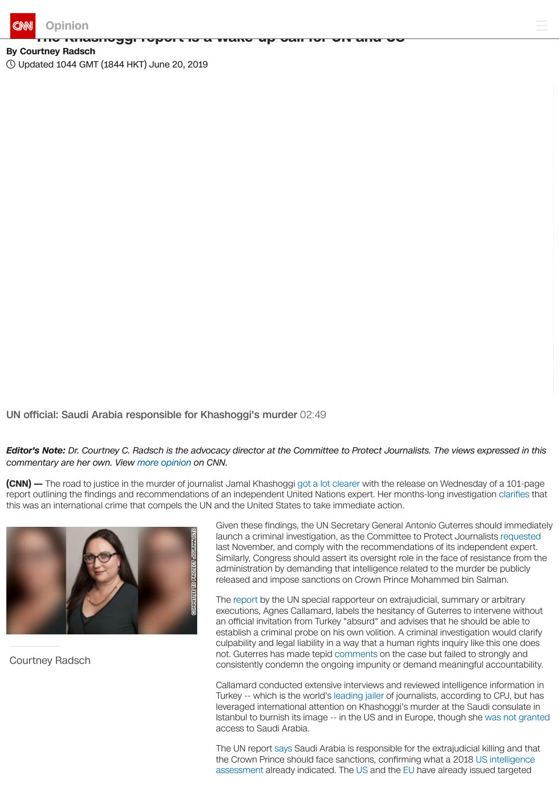

**[T](https://edition.cnn.com/)he Khashoggi report is a wake-up call for UN and US**

## **By Courtney Radsch**

Updated 1044 GMT (1844 HKT) June 20, 2019

UN official: Saudi Arabia responsible for Khashoggi's murder 02:49

## Editor's Note: Dr. Courtney C. Radsch is the advocacy director at the Committee to Protect Journalists. The views expressed in this *commentary are her own. View more [opinion](https://www.cnn.com/opinions) on CNN.*

**(CNN) —** The road to justice in the murder of journalist Jamal Khashoggi got a lot [clearer](https://www.washingtonpost.com/world/national-security/un-investigator-calls-for-probing-saudi-officials-in-khashoggi-killing/2019/06/19/cf5ee594-91f3-11e9-aadb-74e6b2b46f6a_story.html?utm_term=.3e9b06b27d48) with the release on Wednesday of a 101-page report outlining the findings and recommendations of an independent United Nations expert. Her months-long investigation [clarifies](https://abcnews.go.com/International/saudi-leadership-responsible-khashoggi-murder-report/story?id=63806347) that this was an international crime that compels the UN and the United States to take immediate action.



Courtney Radsch

Given these findings, the UN Secretary General Antonio Guterres should immediately launch a criminal investigation, as the Committee to Protect Journalists [requested](https://cpj.org/2018/11/cpj-calls-on-un-to-investigate-murder-of-journalis.php) last November, and comply with the recommendations of its independent expert. Similarly, Congress should assert its oversight role in the face of resistance from the administration by demanding that intelligence related to the murder be publicly released and impose sanctions on Crown Prince Mohammed bin Salman.

The [report](https://www.ohchr.org/EN/NewsEvents/Pages/DisplayNews.aspx?NewsID=24713&LangID=E) by the UN special rapporteur on extrajudicial, summary or arbitrary executions, Agnes Callamard, labels the hesitancy of Guterres to intervene without an official invitation from Turkey "absurd" and advises that he should be able to establish a criminal probe on his own volition. A criminal investigation would clarify culpability and legal liability in a way that a human rights inquiry like this one does not. Guterres has made tepid [comments](https://www.un.org/press/en/2018/sgsm19312.doc.htm) on the case but failed to strongly and consistently condemn the ongoing impunity or demand meaningful accountability.

Callamard conducted extensive interviews and reviewed intelligence information in Turkey -- which is the world's [leading](https://cpj.org/reports/2018/12/journalists-jailed-imprisoned-turkey-china-egypt-saudi-arabia.php) jailer of journalists, according to CPJ, but has leveraged international attention on Khashoggi's murder at the Saudi consulate in Istanbul to burnish its image -- in the US and in Europe, though she was not [granted](https://www.reuters.com/article/us-saudi-khashoggi-un/khashoggi-inquiry-has-sought-access-to-saudi-consulate-kingdom-idUSKCN1PK0HX) access to Saudi Arabia.

[assessment](https://www.washingtonpost.com/world/national-security/cia-concludes-saudi-crown-prince-ordered-jamal-khashoggis-assassination/2018/11/16/98c89fe6-e9b2-11e8-a939-9469f1166f9d_story.html?utm_term=.642d20030f5d) already indicated. The [US](https://www.reuters.com/article/us-saudi-khashoggi/us-imposes-sanctions-for-khashoggi-killing-saudis-seek-death-penalty-idUSKCN1NK2VB) and the [EU](https://www.reuters.com/article/us-eu-saudi-moneylaundering/eu-adds-saudi-arabia-to-draft-terrorism-financing-list-sources-idUSKCN1PJ23J) have already issued targeted The UN report [says](https://www.nytimes.com/2019/06/19/world/middleeast/jamal-khashoggi-Mohammed-bin-Salman.html) Saudi Arabia is responsible for the extrajudicial killing and that the Crown Prince should face sanctions, confirming what a 2018 US intelligence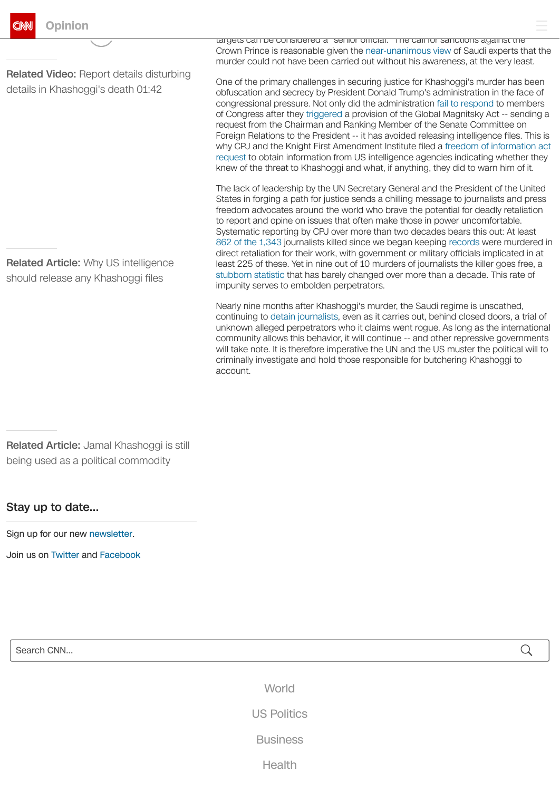Related Video: Report details disturbing details in Khashoggi's death 01:42

**Related Article:** Why US [intelligence](https://edition.cnn.com/2019/01/18/opinions/compel-govt-to-release-files-on-khashoggi-opinion-jaffer-simon/index.html) should release any Khashoggi files

 $\overline{\phantom{0}}$ 

targets can be considered a "senior omcial." The call for sanctions against the Crown Prince is reasonable given the [near-unanimous](https://www.brookings.edu/blog/order-from-chaos/2018/12/05/sanctions-on-saudi-arabia-arent-enough/) view of Saudi experts that the murder could not have been carried out without his awareness, at the very least.

One of the primary challenges in securing justice for Khashoggi's murder has been obfuscation and secrecy by President Donald Trump's administration in the face of congressional pressure. Not only did the administration fail to [respond](https://cpj.org/2019/02/justiceforjamal-campaign-culminates-with-call-for-.php) to members of Congress after they [triggered](https://www.foreign.senate.gov/press/chair/release/corker-menendez-graham-leahy-letter-triggers-global-magnitsky-investigation-into-disappearance-of-jamal-khashoggi) a provision of the Global Magnitsky Act -- sending a request from the Chairman and Ranking Member of the Senate Committee on Foreign Relations to the President -- it has avoided releasing intelligence files. This is why CPJ and the Knight First [Amendment](https://knightcolumbia.org/content/knight-institute-and-committee-protect-journalists-v-cia-foia-suit-records-governments-duty) Institute filed a freedom of information act request to obtain information from US intelligence agencies indicating whether they knew of the threat to Khashoggi and what, if anything, they did to warn him of it.

The lack of leadership by the UN Secretary General and the President of the United States in forging a path for justice sends a chilling message to journalists and press freedom advocates around the world who brave the potential for deadly retaliation to report and opine on issues that often make those in power uncomfortable. Systematic reporting by CPJ over more than two decades bears this out: At least 862 of the [1,343](https://cpj.org/data/killed/?status=Killed&motiveConfirmed%5B%5D=Confirmed&type%5B%5D=Journalist&typeOfDeath%5B%5D=Murder&sourceOfFire%5B%5D=Criminal%20Group&sourceOfFire%5B%5D=Government%20Officials&sourceOfFire%5B%5D=Local%20Residents&sourceOfFire%5B%5D=Military%20Officials&sourceOfFire%5B%5D=Mob%20Violence&sourceOfFire%5B%5D=Paramilitary%20Group&sourceOfFire%5B%5D=Political%20Group&sourceOfFire%5B%5D=Unknown&start_year=1992&end_year=2019&group_by=year) journalists killed since we began keeping [records](https://cpj.org/data/killed/?status=Killed&motiveConfirmed%5B%5D=Confirmed&type%5B%5D=Journalist&typeOfDeath%5B%5D=Murder&sourceOfFire%5B%5D=Criminal%20Group&sourceOfFire%5B%5D=Government%20Officials&sourceOfFire%5B%5D=Local%20Residents&sourceOfFire%5B%5D=Military%20Officials&sourceOfFire%5B%5D=Mob%20Violence&sourceOfFire%5B%5D=Paramilitary%20Group&sourceOfFire%5B%5D=Political%20Group&sourceOfFire%5B%5D=Unknown&start_year=1992&end_year=2019&group_by=year) were murdered in direct retaliation for their work, with government or military officials implicated in at least 225 of these. Yet in nine out of 10 murders of journalists the killer goes free, a [stubborn](https://cpj.org/campaigns/impunity/) statistic that has barely changed over more than a decade. This rate of impunity serves to embolden perpetrators.

Nearly nine months after Khashoggi's murder, the Saudi regime is unscathed, continuing to detain [journalists](https://cpj.org/mideast/saudi-arabia/), even as it carries out, behind closed doors, a trial of unknown alleged perpetrators who it claims went rogue. As long as the international community allows this behavior, it will continue -- and other repressive governments will take note. It is therefore imperative the UN and the US muster the political will to criminally investigate and hold those responsible for butchering Khashoggi to account.

 $\mathsf{Q}$ 

Related Article: Jamal Khashoggi is still being used as a political [commodity](https://edition.cnn.com/2019/01/10/opinions/khashoggi-100-days-nic-robertson-opinion-intl/index.html)

Stay up to date...

Sign up for our new [newsletter](https://mailchi.mp/cnn/provoke-persuade).

Join us on [Twitter](http://twitter.com/cnnopinion) and [Facebook](http://www.facebook.com/CNNOpinion)

Search CNN...

**[World](https://edition.cnn.com/world)** 

US [Politics](https://edition.cnn.com/politics)

**[Business](https://edition.cnn.com/business)** 

[Health](https://edition.cnn.com/health)